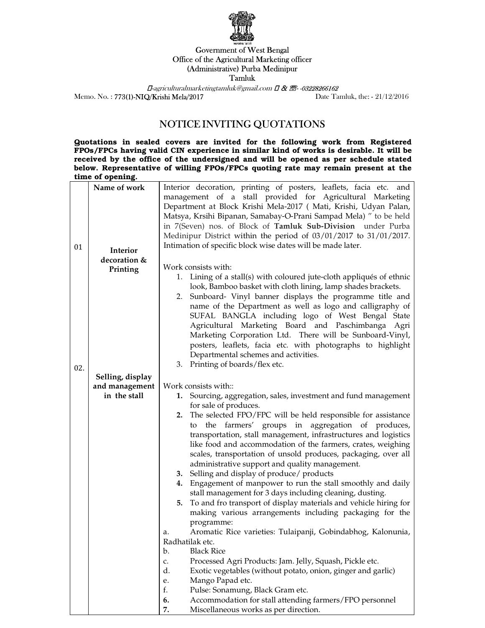

## Government of West Bengal Office of the Agricultural Marketing officer (Administrative) Purba Medinipur Tamluk

 $\Box$ -agriculturalmarketingtamluk@gmail.com  $\Box$  &  $\Box$ -03228266162 Memo. No. : 773(1)-NIQ/Krishi Mela/2017 Date Tamluk, the: - 21/12/2016

## NOTICE INVITING QUOTATIONS

Quotations in sealed covers are invited for the following work from Registered FPOs/FPCs having valid CIN experience in similar kind of works is desirable. It will be received by the office of the undersigned and will be opened as per schedule stated below. Representative of willing FPOs/FPCs quoting rate may remain present at the time of opening.

|     | Name of work                   | Interior decoration, printing of posters, leaflets, facia etc. and                       |
|-----|--------------------------------|------------------------------------------------------------------------------------------|
|     |                                | management of a stall provided for Agricultural Marketing                                |
|     |                                | Department at Block Krishi Mela-2017 ( Mati, Krishi, Udyan Palan,                        |
|     |                                | Matsya, Krsihi Bipanan, Samabay-O-Prani Sampad Mela) " to be held                        |
|     |                                | in 7(Seven) nos. of Block of Tamluk Sub-Division under Purba                             |
|     |                                | Medinipur District within the period of 03/01/2017 to 31/01/2017.                        |
| 01  | Interior                       | Intimation of specific block wise dates will be made later.                              |
|     | decoration &                   |                                                                                          |
|     | Printing                       | Work consists with:                                                                      |
|     |                                | 1. Lining of a stall(s) with coloured jute-cloth appliqués of ethnic                     |
|     |                                | look, Bamboo basket with cloth lining, lamp shades brackets.                             |
|     |                                | 2. Sunboard- Vinyl banner displays the programme title and                               |
|     |                                | name of the Department as well as logo and calligraphy of                                |
|     |                                | SUFAL BANGLA including logo of West Bengal State                                         |
|     |                                | Agricultural Marketing Board and Paschimbanga Agri                                       |
|     |                                | Marketing Corporation Ltd. There will be Sunboard-Vinyl,                                 |
|     |                                | posters, leaflets, facia etc. with photographs to highlight                              |
|     |                                | Departmental schemes and activities.<br>3. Printing of boards/flex etc.                  |
| 02. |                                |                                                                                          |
|     | Selling, display               |                                                                                          |
|     | and management<br>in the stall | Work consists with::                                                                     |
|     |                                | 1. Sourcing, aggregation, sales, investment and fund management<br>for sale of produces. |
|     |                                | 2. The selected FPO/FPC will be held responsible for assistance                          |
|     |                                | the farmers' groups in aggregation of produces,<br>to                                    |
|     |                                | transportation, stall management, infrastructures and logistics                          |
|     |                                | like food and accommodation of the farmers, crates, weighing                             |
|     |                                | scales, transportation of unsold produces, packaging, over all                           |
|     |                                | administrative support and quality management.                                           |
|     |                                | 3. Selling and display of produce/ products                                              |
|     |                                | Engagement of manpower to run the stall smoothly and daily<br>4.                         |
|     |                                | stall management for 3 days including cleaning, dusting.                                 |
|     |                                | To and fro transport of display materials and vehicle hiring for<br>5.                   |
|     |                                | making various arrangements including packaging for the                                  |
|     |                                | programme:                                                                               |
|     |                                | Aromatic Rice varieties: Tulaipanji, Gobindabhog, Kalonunia,<br>a.                       |
|     |                                | Radhatilak etc.                                                                          |
|     |                                | <b>Black Rice</b><br>b.                                                                  |
|     |                                | Processed Agri Products: Jam. Jelly, Squash, Pickle etc.<br>c.                           |
|     |                                | d.<br>Exotic vegetables (without potato, onion, ginger and garlic)                       |
|     |                                | Mango Papad etc.<br>e.                                                                   |
|     |                                | f.<br>Pulse: Sonamung, Black Gram etc.                                                   |
|     |                                | Accommodation for stall attending farmers/FPO personnel<br>6.                            |
|     |                                | Miscellaneous works as per direction.<br>7.                                              |